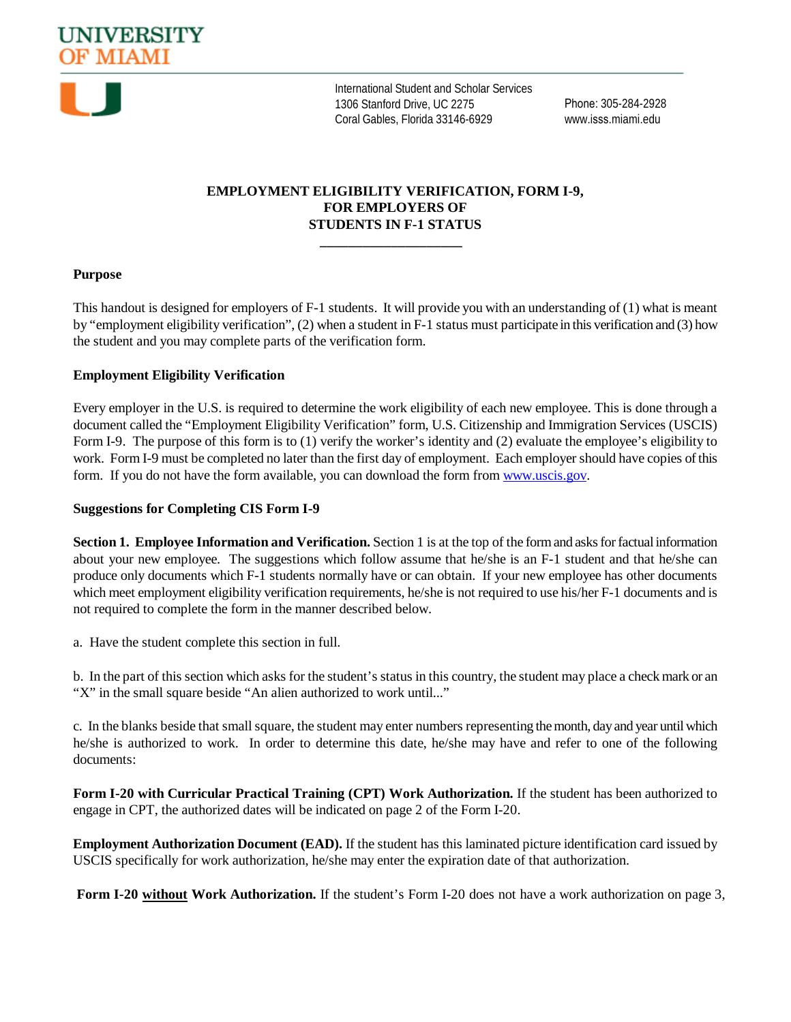



International Student and Scholar Services 1306 Stanford Drive, UC 2275 Coral Gables, Florida 33146-6929

Phone: 305-284-2928 www.isss.miami.edu

## **EMPLOYMENT ELIGIBILITY VERIFICATION, FORM I-9, FOR EMPLOYERS OF STUDENTS IN F-1 STATUS**

**\_\_\_\_\_\_\_\_\_\_\_\_\_\_\_\_\_\_\_\_**

#### **Purpose**

This handout is designed for employers of F-1 students. It will provide you with an understanding of (1) what is meant by "employment eligibility verification", (2) when a student in F-1 status must participate in this verification and (3) how the student and you may complete parts of the verification form.

#### **Employment Eligibility Verification**

Every employer in the U.S. is required to determine the work eligibility of each new employee. This is done through a document called the "Employment Eligibility Verification" form, U.S. Citizenship and Immigration Services (USCIS) Form I-9. The purpose of this form is to (1) verify the worker's identity and (2) evaluate the employee's eligibility to work. Form I-9 must be completed no later than the first day of employment. Each employer should have copies of this form. If you do not have the form available, you can download the form from www.uscis.gov.

#### **Suggestions for Completing CIS Form I-9**

**Section 1. Employee Information and Verification.** Section 1 is at the top of the form and asks for factual information about your new employee. The suggestions which follow assume that he/she is an F-1 student and that he/she can produce only documents which F-1 students normally have or can obtain. If your new employee has other documents which meet employment eligibility verification requirements, he/she is not required to use his/her F-1 documents and is not required to complete the form in the manner described below.

a. Have the student complete this section in full.

b. In the part of this section which asks for the student's status in this country, the student may place a check mark or an "X" in the small square beside "An alien authorized to work until..."

c. In the blanks beside that small square, the student may enter numbers representing the month, day and year until which he/she is authorized to work. In order to determine this date, he/she may have and refer to one of the following documents:

**Form I-20 with Curricular Practical Training (CPT) Work Authorization.** If the student has been authorized to engage in CPT, the authorized dates will be indicated on page 2 of the Form I-20.

**Employment Authorization Document (EAD).** If the student has this laminated picture identification card issued by USCIS specifically for work authorization, he/she may enter the expiration date of that authorization.

**Form I-20 without Work Authorization.** If the student's Form I-20 does not have a work authorization on page 3,